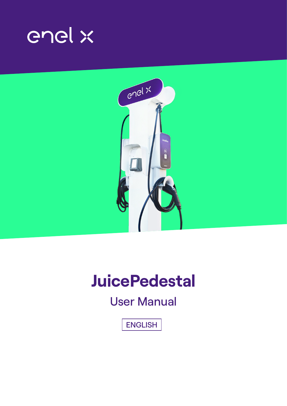



# **JuicePedestal**

### User Manual

ENGLISH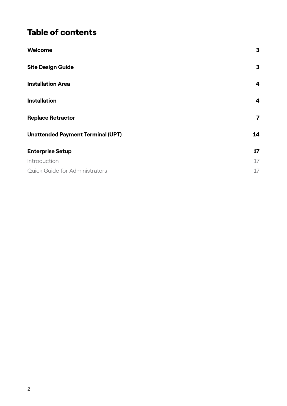### Table of contents

| Welcome                                  | 3              |
|------------------------------------------|----------------|
| <b>Site Design Guide</b>                 | 3              |
| <b>Installation Area</b>                 | 4              |
| <b>Installation</b>                      | 4              |
| <b>Replace Retractor</b>                 | $\overline{7}$ |
| <b>Unattended Payment Terminal (UPT)</b> | 14             |
| <b>Enterprise Setup</b>                  | 17             |
| Introduction                             | 17             |
| <b>Quick Guide for Administrators</b>    | 17             |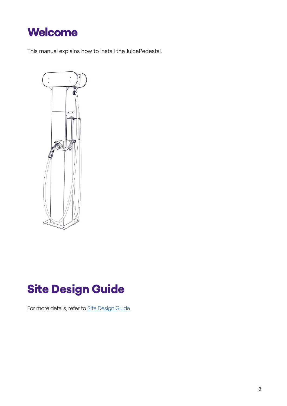### <span id="page-2-0"></span>**Welcome**

This manual explains how to install the JuicePedestal.



## Site Design Guide

For more details, refer to [Site Design Guide](https://docs-emobility.enelx.com/SiteDesign/SiteDesignGuide/welcome.html).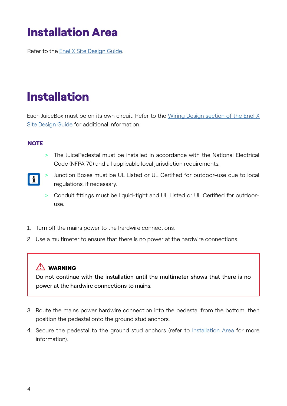## <span id="page-3-0"></span>Installation Area

Refer to the [Enel X Site Design Guide](https://docs-emobility.enelx.com/SiteDesign/SiteDesignGuide/welcome.html).

### Installation

Each JuiceBox must be on its own circuit. Refer to the [Wiring Design section of the Enel X](https://docs-emobility.enelx.com/SiteDesign/SiteDesignGuide/wiring_design.html)  [Site Design Guide](https://docs-emobility.enelx.com/SiteDesign/SiteDesignGuide/wiring_design.html) for additional information.

#### **NOTE**

> The JuicePedestal must be installed in accordance with the National Electrical Code (NFPA 70) and all applicable local jurisdiction requirements.



- > Junction Boxes must be UL Listed or UL Certified for outdoor-use due to local regulations, if necessary.
- > Conduit fittings must be liquid-tight and UL Listed or UL Certified for outdooruse.
- 1. Turn off the mains power to the hardwire connections.
- 2. Use a multimeter to ensure that there is no power at the hardwire connections.

#### $\sqrt{N}$  WARNING

Do not continue with the installation until the multimeter shows that there is no power at the hardwire connections to mains.

- 3. Route the mains power hardwire connection into the pedestal from the bottom, then position the pedestal onto the ground stud anchors.
- 4. Secure the pedestal to the ground stud anchors (refer to [Installation Area](https://support-emobility.enelx.com/hc/en-us/articles/4402417610907) for more information).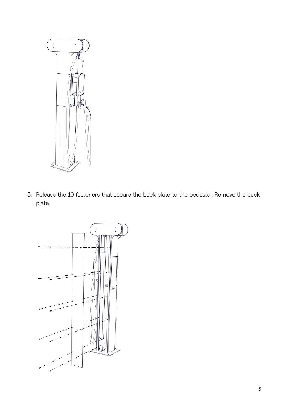

5. Release the 10 fasteners that secure the back plate to the pedestal. Remove the back plate.

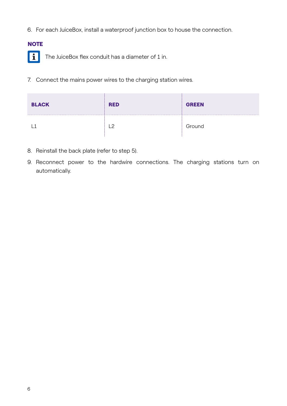6. For each JuiceBox, install a waterproof junction box to house the connection.

#### **NOTE**



The JuiceBox flex conduit has a diameter of 1 in.

7. Connect the mains power wires to the charging station wires.

| <b>BLACK</b> | <b>RED</b> | <b>GREEN</b> |
|--------------|------------|--------------|
|              | ാ          | Ground       |

- 8. Reinstall the back plate (refer to step 5).
- 9. Reconnect power to the hardwire connections. The charging stations turn on automatically.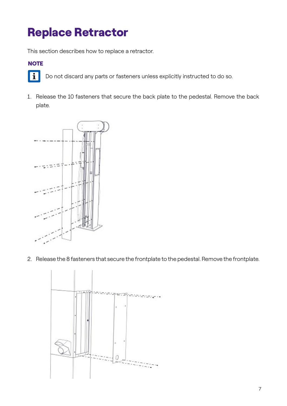## <span id="page-6-0"></span>Replace Retractor

This section describes how to replace a retractor.

#### **NOTE**



Do not discard any parts or fasteners unless explicitly instructed to do so.

1. Release the 10 fasteners that secure the back plate to the pedestal. Remove the back plate.



2. Release the 8 fasteners that secure the frontplate to the pedestal. Remove the frontplate.

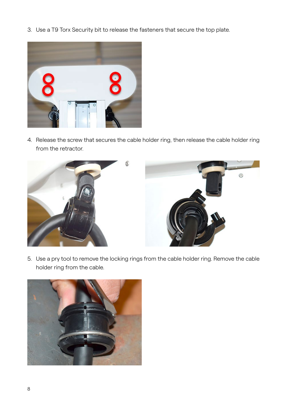3. Use a T9 Torx Security bit to release the fasteners that secure the top plate.



4. Release the screw that secures the cable holder ring, then release the cable holder ring from the retractor.



5. Use a pry tool to remove the locking rings from the cable holder ring. Remove the cable holder ring from the cable.

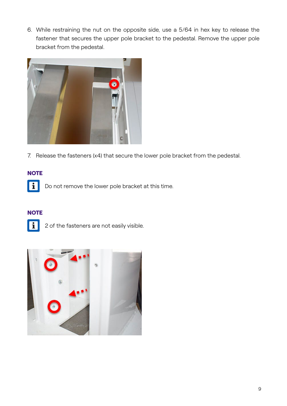6. While restraining the nut on the opposite side, use a 5/64 in hex key to release the fastener that secures the upper pole bracket to the pedestal. Remove the upper pole bracket from the pedestal.



7. Release the fasteners (x4) that secure the lower pole bracket from the pedestal.

#### **NOTE**

H Do not remove the lower pole bracket at this time.

#### **NOTE**



2 of the fasteners are not easily visible.

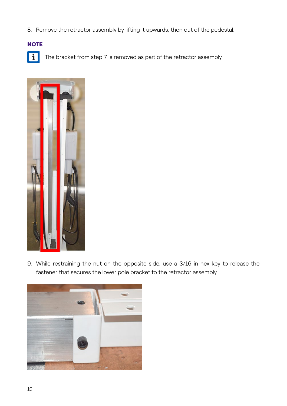8. Remove the retractor assembly by lifting it upwards, then out of the pedestal.

#### **NOTE**



The bracket from step 7 is removed as part of the retractor assembly.



9. While restraining the nut on the opposite side, use a 3/16 in hex key to release the fastener that secures the lower pole bracket to the retractor assembly.

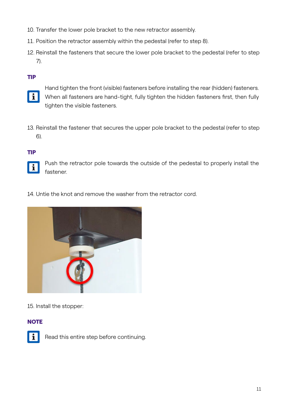- 10. Transfer the lower pole bracket to the new retractor assembly.
- 11. Position the retractor assembly within the pedestal (refer to step 8).
- 12. Reinstall the fasteners that secure the lower pole bracket to the pedestal (refer to step 7).

#### TIP



Hand tighten the front (visible) fasteners before installing the rear (hidden) fasteners. When all fasteners are hand-tight, fully tighten the hidden fasteners first, then fully tighten the visible fasteners.

13. Reinstall the fastener that secures the upper pole bracket to the pedestal (refer to step 6).

#### TIP



14. Untie the knot and remove the washer from the retractor cord.



15. Install the stopper:

#### **NOTE**



Read this entire step before continuing.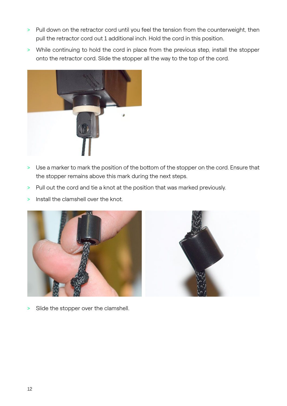- > Pull down on the retractor cord until you feel the tension from the counterweight, then pull the retractor cord out 1 additional inch. Hold the cord in this position.
- > While continuing to hold the cord in place from the previous step, install the stopper onto the retractor cord. Slide the stopper all the way to the top of the cord.



- > Use a marker to mark the position of the bottom of the stopper on the cord. Ensure that the stopper remains above this mark during the next steps.
- > Pull out the cord and tie a knot at the position that was marked previously.
- > Install the clamshell over the knot.



> Slide the stopper over the clamshell.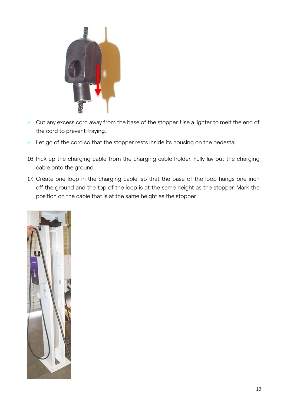

- > Cut any excess cord away from the base of the stopper. Use a lighter to melt the end of the cord to prevent fraying.
- > Let go of the cord so that the stopper rests inside its housing on the pedestal.
- 16. Pick up the charging cable from the charging cable holder. Fully lay out the charging cable onto the ground.
- 17. Create one loop in the charging cable, so that the base of the loop hangs one inch off the ground and the top of the loop is at the same height as the stopper. Mark the position on the cable that is at the same height as the stopper.

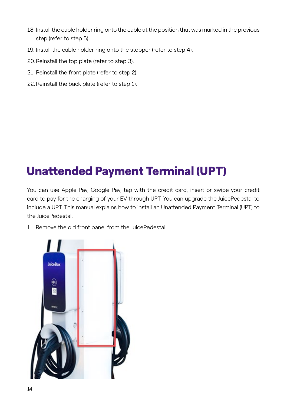- <span id="page-13-0"></span>18. Install the cable holder ring onto the cable at the position that was marked in the previous step (refer to step 5).
- 19. Install the cable holder ring onto the stopper (refer to step 4).
- 20.Reinstall the top plate (refer to step 3).
- 21. Reinstall the front plate (refer to step 2).
- 22.Reinstall the back plate (refer to step 1).

### Unattended Payment Terminal (UPT)

You can use Apple Pay, Google Pay, tap with the credit card, insert or swipe your credit card to pay for the charging of your EV through UPT. You can upgrade the JuicePedestal to include a UPT. This manual explains how to install an Unattended Payment Terminal (UPT) to the JuicePedestal.

1. Remove the old front panel from the JuicePedestal.

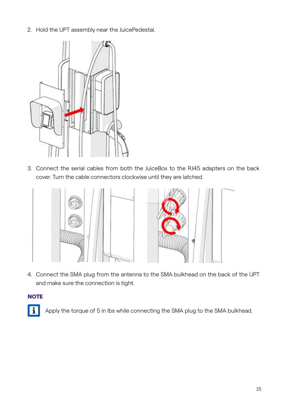2. Hold the UPT assembly near the JuicePedestal.



3. Connect the serial cables from both the JuiceBox to the RJ45 adapters on the back cover. Turn the cable connectors clockwise until they are latched.



4. Connect the SMA plug from the antenna to the SMA bulkhead on the back of the UPT and make sure the connection is tight.

#### **NOTE**



Apply the torque of 5 in lbs while connecting the SMA plug to the SMA bulkhead.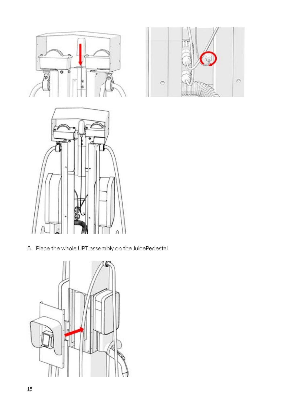





5. Place the whole UPT assembly on the JuicePedestal.

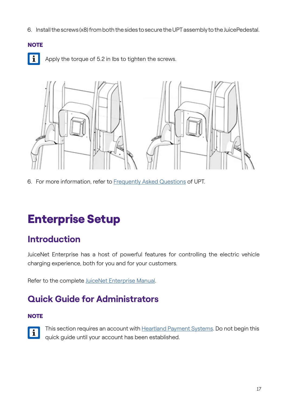<span id="page-16-0"></span>6. Install the screws (x8) from both the sides to secure the UPT assembly to the JuicePedestal.

#### **NOTE**

 $\overline{\mathbf{1}}$ 

Apply the torque of 5.2 in lbs to tighten the screws.



6. For more information, refer to [Frequently Asked Questions](https://support-emobility.enelx.com/hc/en-us/sections/4403264447771-Unattended-Payment-Terminal-UPT-) of UPT.

## Enterprise Setup

### **Introduction**

JuiceNet Enterprise has a host of powerful features for controlling the electric vehicle charging experience, both for you and for your customers.

Refer to the complete [JuiceNet Enterprise Manual.](https://docs-emobility.enelx.com/Enterprise/Welcome.html)

### **Quick Guide for Administrators**

#### **NOTE**



This section requires an account with **Heartland Payment Systems**. Do not begin this quick guide until your account has been established.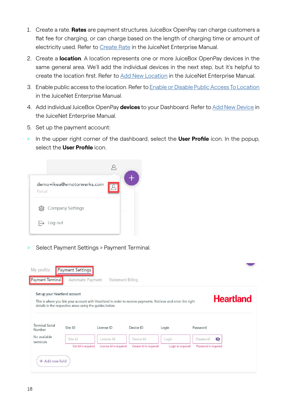- 1. Create a rate. **Rates** are payment structures. JuiceBox OpenPay can charge customers a flat fee for charging, or can charge based on the length of charging time or amount of electricity used. Refer to [Create Rate](https://docs-emobility.enelx.com/Enterprise/RateTopics/createRate.html) in the JuiceNet Enterprise Manual.
- 2. Create a **location**. A location represents one or more JuiceBox OpenPay devices in the same general area. We'll add the individual devices in the next step, but it's helpful to create the location first. Refer to [Add New Location](https://docs-emobility.enelx.com/Enterprise/LocationTopics/addNewLocation.html) in the JuiceNet Enterprise Manual.
- 3. Enable public access to the location. Refer to [Enable or Disable Public Access To Location](https://docs-emobility.enelx.com/Enterprise/LocationTopics/enableOrDisablePublicAccessToLocation.html)  in the JuiceNet Enterprise Manual.
- 4. Add individual JuiceBox OpenPay **devices** to your Dashboard. Refer to [Add New Device](https://docs-emobility.enelx.com/Enterprise/DeviceTopics/addSingleNewDevice.html) in the JuiceNet Enterprise Manual.
- 5. Set up the payment account:
- > In the upper right corner of the dashboard, select the **User Profile** icon. In the popup, select the **User Profile** icon.

| demo+ikea@emotorwerks.com<br>Retail |  |
|-------------------------------------|--|
| company Settings                    |  |
| Log out<br>$\mapsto$                |  |

> Select Payment Settings > Payment Terminal.